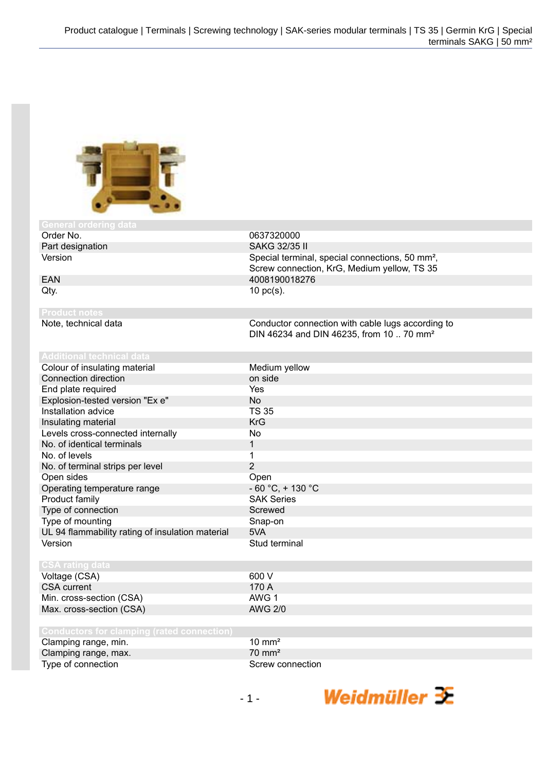

# General ordering<br>Order No.

## 0637320000 Part designation SAKG 32/35 II Version **Special terminal, special connections**, 50 mm<sup>2</sup>, Screw connection, KrG, Medium yellow, TS 35 EAN 4008190018276  $Qty.$  10 pc(s).

Note, technical data Conductor connection with cable lugs according to DIN 46234 and DIN 46235, from 10 .. 70 mm²

Weidmüller  $\mathcal{\mathcal{F}}$ 

| Colour of insulating material                    | Medium yellow        |
|--------------------------------------------------|----------------------|
| Connection direction                             | on side              |
| End plate required                               | Yes                  |
| Explosion-tested version "Ex e"                  | No.                  |
| Installation advice                              | TS 35                |
| Insulating material                              | <b>KrG</b>           |
| Levels cross-connected internally                | No                   |
| No. of identical terminals                       | 1                    |
| No. of levels                                    |                      |
| No. of terminal strips per level                 | 2                    |
| Open sides                                       | Open                 |
| Operating temperature range                      | $-60 °C$ , $+130 °C$ |
| Product family                                   | <b>SAK Series</b>    |
| Type of connection                               | Screwed              |
| Type of mounting                                 | Snap-on              |
| UL 94 flammability rating of insulation material | 5VA                  |
| Version                                          | Stud terminal        |
|                                                  |                      |
| <b>CSA rating data</b>                           |                      |
| Voltage (CSA)                                    | 600 V                |
| <b>CSA</b> current                               | 170 A                |
| Min. cross-section (CSA)                         | AWG 1                |

Max. cross-section (CSA)

Min. cross-section (CSA) AWG 1<br>
Max. cross-section (CSA) AWG 2/0

| Clamping range, min. | $10 \text{ mm}^2$ |
|----------------------|-------------------|
| Clamping range, max. | $70 \text{ mm}^2$ |
| Type of connection   | Screw connection  |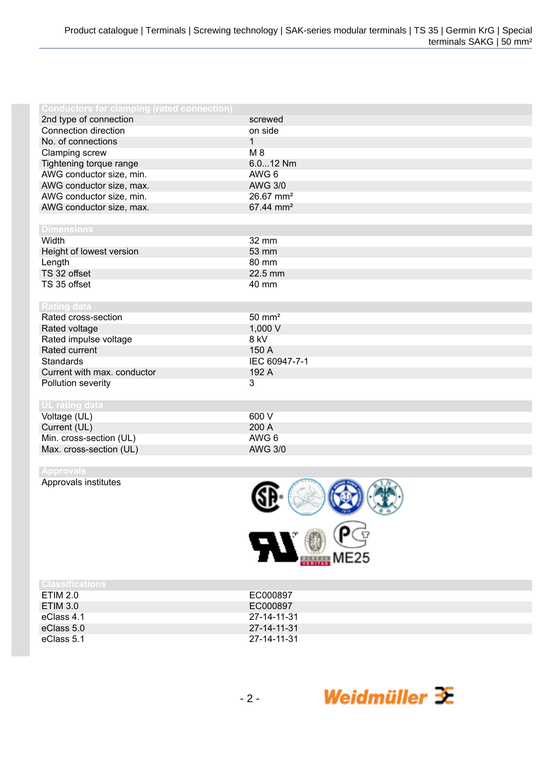| <b>Conductors for clamping (rated connection)</b> |                       |
|---------------------------------------------------|-----------------------|
| 2nd type of connection                            | screwed               |
| Connection direction                              | on side               |
| No. of connections                                | 1                     |
| Clamping screw                                    | $M_8$                 |
| Tightening torque range                           | 6.012 Nm              |
| AWG conductor size, min.                          | AWG 6                 |
| AWG conductor size, max.                          | <b>AWG 3/0</b>        |
| AWG conductor size, min.                          | 26.67 mm <sup>2</sup> |
| AWG conductor size, max.                          | 67.44 mm <sup>2</sup> |
|                                                   |                       |
| <b>Dimensions</b>                                 |                       |
| Width                                             | 32 mm                 |
| Height of lowest version                          | 53 mm                 |
| Length                                            | 80 mm                 |
| TS 32 offset                                      | 22.5 mm               |
| TS 35 offset                                      | 40 mm                 |
|                                                   |                       |
| <b>Rating data</b>                                |                       |
| Rated cross-section                               | $50 \text{ mm}^2$     |
| Rated voltage                                     | 1,000 V               |
| Rated impulse voltage                             | 8 kV                  |
| Rated current                                     | 150 A                 |
| <b>Standards</b>                                  | IEC 60947-7-1         |
| Current with max. conductor                       | 192 A                 |
| Pollution severity                                | 3                     |
|                                                   |                       |
| UL rating data                                    |                       |
| Voltage (UL)                                      | 600 V                 |
| Current (UL)                                      | 200 A                 |
| Min. cross-section (UL)                           | AWG 6                 |
| Max. cross-section (UL)                           | <b>AWG 3/0</b>        |

Approvals institutes



| UBSSITICATIONS |             |
|----------------|-------------|
| ETIM 2.0       | EC000897    |
| ETIM 3.0       | EC000897    |
| eClass 4.1     | 27-14-11-31 |
| eClass 5.0     | 27-14-11-31 |
| eClass 5.1     | 27-14-11-31 |